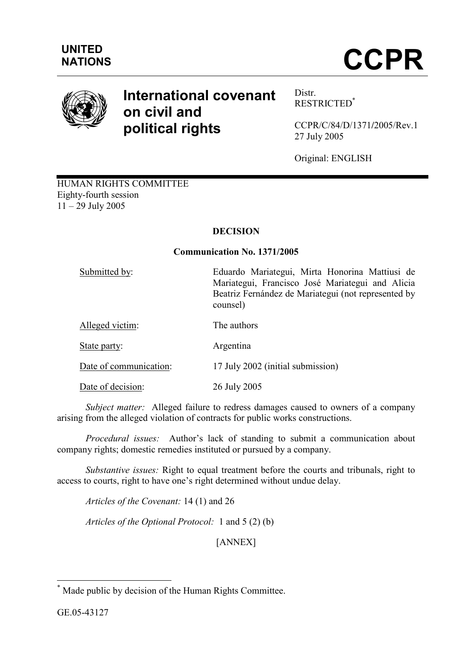

# International covenant on civil and political rights

Distr. RESTRICTED\*

CCPR/C/84/D/1371/2005/Rev.1 27 July 2005

Original: ENGLISH

HUMAN RIGHTS COMMITTEE Eighty-fourth session 11 – 29 July 2005

# DECISION

# Communication No. 1371/2005

| Submitted by:          | Eduardo Mariategui, Mirta Honorina Mattiusi de<br>Mariategui, Francisco José Mariategui and Alicia<br>Beatriz Fernández de Mariategui (not represented by<br>counsel) |
|------------------------|-----------------------------------------------------------------------------------------------------------------------------------------------------------------------|
| Alleged victim:        | The authors                                                                                                                                                           |
| State party:           | Argentina                                                                                                                                                             |
| Date of communication: | 17 July 2002 (initial submission)                                                                                                                                     |
| Date of decision:      | 26 July 2005                                                                                                                                                          |

Subject matter: Alleged failure to redress damages caused to owners of a company arising from the alleged violation of contracts for public works constructions.

 Procedural issues: Author's lack of standing to submit a communication about company rights; domestic remedies instituted or pursued by a company.

 Substantive issues: Right to equal treatment before the courts and tribunals, right to access to courts, right to have one's right determined without undue delay.

Articles of the Covenant: 14 (1) and 26

Articles of the Optional Protocol: 1 and 5 (2) (b)

[ANNEX]

 \* Made public by decision of the Human Rights Committee.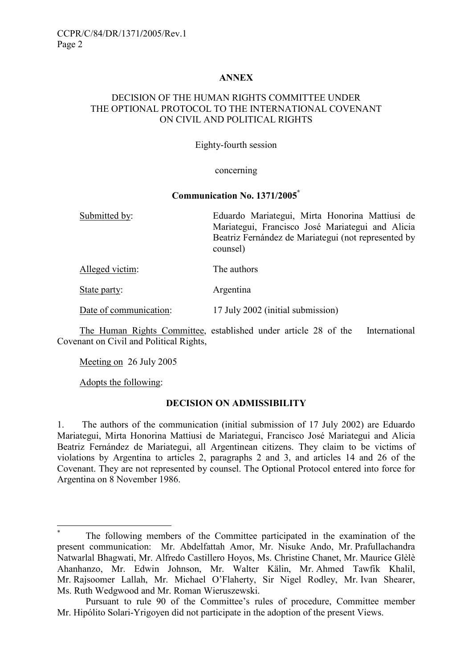### ANNEX

#### DECISION OF THE HUMAN RIGHTS COMMITTEE UNDER THE OPTIONAL PROTOCOL TO THE INTERNATIONAL COVENANT ON CIVIL AND POLITICAL RIGHTS

#### Eighty-fourth session

#### concerning

#### Communication No. 1371/2005\*

Submitted by: Eduardo Mariategui, Mirta Honorina Mattiusi de Mariategui, Francisco José Mariategui and Alicia Beatriz Fernández de Mariategui (not represented by counsel)

Alleged victim: The authors

State party: Argentina

Date of communication: 17 July 2002 (initial submission)

 The Human Rights Committee, established under article 28 of the International Covenant on Civil and Political Rights,

Meeting on 26 July 2005

Adopts the following:

 $\overline{a}$ 

#### DECISION ON ADMISSIBILITY

1. The authors of the communication (initial submission of 17 July 2002) are Eduardo Mariategui, Mirta Honorina Mattiusi de Mariategui, Francisco José Mariategui and Alicia Beatriz Fernández de Mariategui, all Argentinean citizens. They claim to be victims of violations by Argentina to articles 2, paragraphs 2 and 3, and articles 14 and 26 of the Covenant. They are not represented by counsel. The Optional Protocol entered into force for Argentina on 8 November 1986.

<sup>\*</sup> The following members of the Committee participated in the examination of the present communication: Mr. Abdelfattah Amor, Mr. Nisuke Ando, Mr. Prafullachandra Natwarlal Bhagwati, Mr. Alfredo Castillero Hoyos, Ms. Christine Chanet, Mr. Maurice Glèlè Ahanhanzo, Mr. Edwin Johnson, Mr. Walter Kälin, Mr. Ahmed Tawfik Khalil, Mr. Rajsoomer Lallah, Mr. Michael O'Flaherty, Sir Nigel Rodley, Mr. Ivan Shearer, Ms. Ruth Wedgwood and Mr. Roman Wieruszewski.

Pursuant to rule 90 of the Committee's rules of procedure, Committee member Mr. Hipólito Solari-Yrigoyen did not participate in the adoption of the present Views.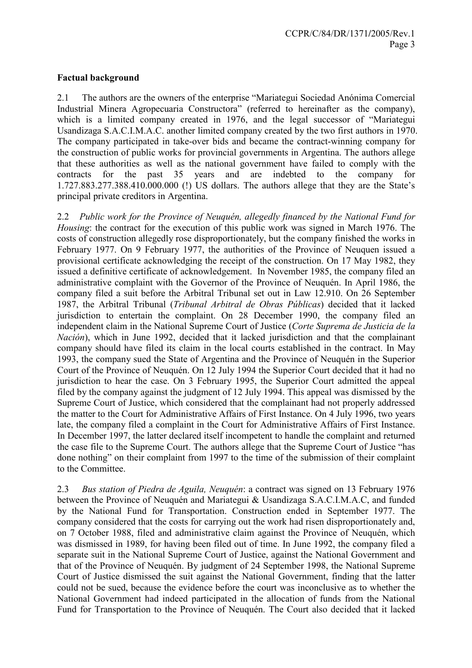# Factual background

2.1 The authors are the owners of the enterprise "Mariategui Sociedad Anónima Comercial Industrial Minera Agropecuaria Constructora" (referred to hereinafter as the company), which is a limited company created in 1976, and the legal successor of "Mariategui Usandizaga S.A.C.I.M.A.C. another limited company created by the two first authors in 1970. The company participated in take-over bids and became the contract-winning company for the construction of public works for provincial governments in Argentina. The authors allege that these authorities as well as the national government have failed to comply with the contracts for the past 35 years and are indebted to the company for 1.727.883.277.388.410.000.000 (!) US dollars. The authors allege that they are the State's principal private creditors in Argentina.

2.2 Public work for the Province of Neuquén, allegedly financed by the National Fund for Housing: the contract for the execution of this public work was signed in March 1976. The costs of construction allegedly rose disproportionately, but the company finished the works in February 1977. On 9 February 1977, the authorities of the Province of Neuquen issued a provisional certificate acknowledging the receipt of the construction. On 17 May 1982, they issued a definitive certificate of acknowledgement. In November 1985, the company filed an administrative complaint with the Governor of the Province of Neuquén. In April 1986, the company filed a suit before the Arbitral Tribunal set out in Law 12.910. On 26 September 1987, the Arbitral Tribunal (Tribunal Arbitral de Obras Públicas) decided that it lacked jurisdiction to entertain the complaint. On 28 December 1990, the company filed an independent claim in the National Supreme Court of Justice (Corte Suprema de Justicia de la Nación), which in June 1992, decided that it lacked jurisdiction and that the complainant company should have filed its claim in the local courts established in the contract. In May 1993, the company sued the State of Argentina and the Province of Neuquén in the Superior Court of the Province of Neuquén. On 12 July 1994 the Superior Court decided that it had no jurisdiction to hear the case. On 3 February 1995, the Superior Court admitted the appeal filed by the company against the judgment of 12 July 1994. This appeal was dismissed by the Supreme Court of Justice, which considered that the complainant had not properly addressed the matter to the Court for Administrative Affairs of First Instance. On 4 July 1996, two years late, the company filed a complaint in the Court for Administrative Affairs of First Instance. In December 1997, the latter declared itself incompetent to handle the complaint and returned the case file to the Supreme Court. The authors allege that the Supreme Court of Justice "has done nothing" on their complaint from 1997 to the time of the submission of their complaint to the Committee.

2.3 Bus station of Piedra de Aguila, Neuquén: a contract was signed on 13 February 1976 between the Province of Neuquén and Mariategui & Usandizaga S.A.C.I.M.A.C, and funded by the National Fund for Transportation. Construction ended in September 1977. The company considered that the costs for carrying out the work had risen disproportionately and, on 7 October 1988, filed and administrative claim against the Province of Neuquén, which was dismissed in 1989, for having been filed out of time. In June 1992, the company filed a separate suit in the National Supreme Court of Justice, against the National Government and that of the Province of Neuquén. By judgment of 24 September 1998, the National Supreme Court of Justice dismissed the suit against the National Government, finding that the latter could not be sued, because the evidence before the court was inconclusive as to whether the National Government had indeed participated in the allocation of funds from the National Fund for Transportation to the Province of Neuquén. The Court also decided that it lacked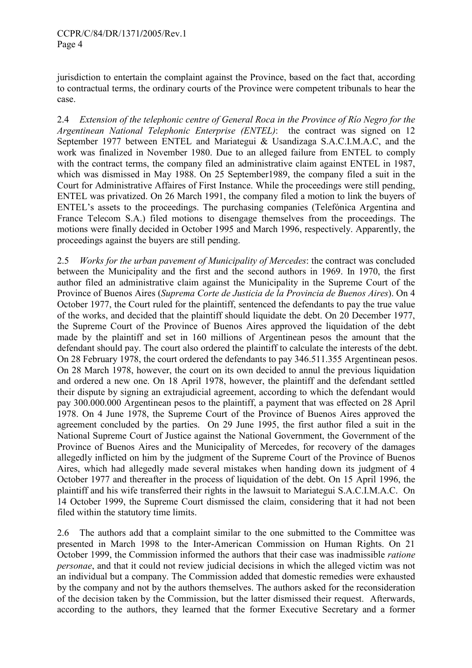jurisdiction to entertain the complaint against the Province, based on the fact that, according to contractual terms, the ordinary courts of the Province were competent tribunals to hear the case.

2.4 Extension of the telephonic centre of General Roca in the Province of Río Negro for the Argentinean National Telephonic Enterprise (ENTEL): the contract was signed on 12 September 1977 between ENTEL and Mariategui & Usandizaga S.A.C.I.M.A.C, and the work was finalized in November 1980. Due to an alleged failure from ENTEL to comply with the contract terms, the company filed an administrative claim against ENTEL in 1987, which was dismissed in May 1988. On 25 September1989, the company filed a suit in the Court for Administrative Affaires of First Instance. While the proceedings were still pending, ENTEL was privatized. On 26 March 1991, the company filed a motion to link the buyers of ENTEL's assets to the proceedings. The purchasing companies (Telefónica Argentina and France Telecom S.A.) filed motions to disengage themselves from the proceedings. The motions were finally decided in October 1995 and March 1996, respectively. Apparently, the proceedings against the buyers are still pending.

2.5 *Works for the urban pavement of Municipality of Mercedes: the contract was concluded* between the Municipality and the first and the second authors in 1969. In 1970, the first author filed an administrative claim against the Municipality in the Supreme Court of the Province of Buenos Aires (Suprema Corte de Justicia de la Provincia de Buenos Aires). On 4 October 1977, the Court ruled for the plaintiff, sentenced the defendants to pay the true value of the works, and decided that the plaintiff should liquidate the debt. On 20 December 1977, the Supreme Court of the Province of Buenos Aires approved the liquidation of the debt made by the plaintiff and set in 160 millions of Argentinean pesos the amount that the defendant should pay. The court also ordered the plaintiff to calculate the interests of the debt. On 28 February 1978, the court ordered the defendants to pay 346.511.355 Argentinean pesos. On 28 March 1978, however, the court on its own decided to annul the previous liquidation and ordered a new one. On 18 April 1978, however, the plaintiff and the defendant settled their dispute by signing an extrajudicial agreement, according to which the defendant would pay 300.000.000 Argentinean pesos to the plaintiff, a payment that was effected on 28 April 1978. On 4 June 1978, the Supreme Court of the Province of Buenos Aires approved the agreement concluded by the parties. On 29 June 1995, the first author filed a suit in the National Supreme Court of Justice against the National Government, the Government of the Province of Buenos Aires and the Municipality of Mercedes, for recovery of the damages allegedly inflicted on him by the judgment of the Supreme Court of the Province of Buenos Aires, which had allegedly made several mistakes when handing down its judgment of 4 October 1977 and thereafter in the process of liquidation of the debt. On 15 April 1996, the plaintiff and his wife transferred their rights in the lawsuit to Mariategui S.A.C.I.M.A.C. On 14 October 1999, the Supreme Court dismissed the claim, considering that it had not been filed within the statutory time limits.

2.6 The authors add that a complaint similar to the one submitted to the Committee was presented in March 1998 to the Inter-American Commission on Human Rights. On 21 October 1999, the Commission informed the authors that their case was inadmissible ratione personae, and that it could not review judicial decisions in which the alleged victim was not an individual but a company. The Commission added that domestic remedies were exhausted by the company and not by the authors themselves. The authors asked for the reconsideration of the decision taken by the Commission, but the latter dismissed their request. Afterwards, according to the authors, they learned that the former Executive Secretary and a former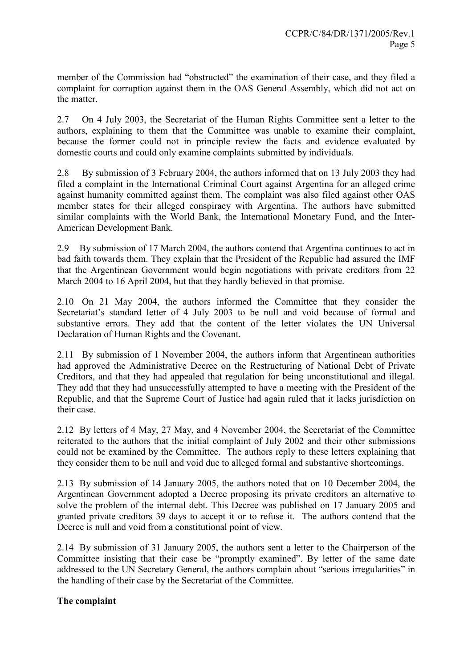member of the Commission had "obstructed" the examination of their case, and they filed a complaint for corruption against them in the OAS General Assembly, which did not act on the matter.

2.7 On 4 July 2003, the Secretariat of the Human Rights Committee sent a letter to the authors, explaining to them that the Committee was unable to examine their complaint, because the former could not in principle review the facts and evidence evaluated by domestic courts and could only examine complaints submitted by individuals.

2.8 By submission of 3 February 2004, the authors informed that on 13 July 2003 they had filed a complaint in the International Criminal Court against Argentina for an alleged crime against humanity committed against them. The complaint was also filed against other OAS member states for their alleged conspiracy with Argentina. The authors have submitted similar complaints with the World Bank, the International Monetary Fund, and the Inter-American Development Bank.

2.9 By submission of 17 March 2004, the authors contend that Argentina continues to act in bad faith towards them. They explain that the President of the Republic had assured the IMF that the Argentinean Government would begin negotiations with private creditors from 22 March 2004 to 16 April 2004, but that they hardly believed in that promise.

2.10 On 21 May 2004, the authors informed the Committee that they consider the Secretariat's standard letter of 4 July 2003 to be null and void because of formal and substantive errors. They add that the content of the letter violates the UN Universal Declaration of Human Rights and the Covenant.

2.11 By submission of 1 November 2004, the authors inform that Argentinean authorities had approved the Administrative Decree on the Restructuring of National Debt of Private Creditors, and that they had appealed that regulation for being unconstitutional and illegal. They add that they had unsuccessfully attempted to have a meeting with the President of the Republic, and that the Supreme Court of Justice had again ruled that it lacks jurisdiction on their case.

2.12 By letters of 4 May, 27 May, and 4 November 2004, the Secretariat of the Committee reiterated to the authors that the initial complaint of July 2002 and their other submissions could not be examined by the Committee. The authors reply to these letters explaining that they consider them to be null and void due to alleged formal and substantive shortcomings.

2.13 By submission of 14 January 2005, the authors noted that on 10 December 2004, the Argentinean Government adopted a Decree proposing its private creditors an alternative to solve the problem of the internal debt. This Decree was published on 17 January 2005 and granted private creditors 39 days to accept it or to refuse it. The authors contend that the Decree is null and void from a constitutional point of view.

2.14 By submission of 31 January 2005, the authors sent a letter to the Chairperson of the Committee insisting that their case be "promptly examined". By letter of the same date addressed to the UN Secretary General, the authors complain about "serious irregularities" in the handling of their case by the Secretariat of the Committee.

# The complaint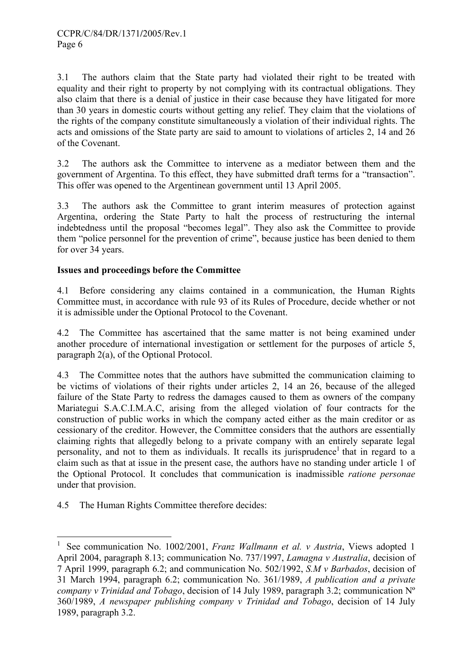3.1 The authors claim that the State party had violated their right to be treated with equality and their right to property by not complying with its contractual obligations. They also claim that there is a denial of justice in their case because they have litigated for more than 30 years in domestic courts without getting any relief. They claim that the violations of the rights of the company constitute simultaneously a violation of their individual rights. The acts and omissions of the State party are said to amount to violations of articles 2, 14 and 26 of the Covenant.

3.2 The authors ask the Committee to intervene as a mediator between them and the government of Argentina. To this effect, they have submitted draft terms for a "transaction". This offer was opened to the Argentinean government until 13 April 2005.

3.3 The authors ask the Committee to grant interim measures of protection against Argentina, ordering the State Party to halt the process of restructuring the internal indebtedness until the proposal "becomes legal". They also ask the Committee to provide them "police personnel for the prevention of crime", because justice has been denied to them for over 34 years.

# Issues and proceedings before the Committee

4.1 Before considering any claims contained in a communication, the Human Rights Committee must, in accordance with rule 93 of its Rules of Procedure, decide whether or not it is admissible under the Optional Protocol to the Covenant.

4.2 The Committee has ascertained that the same matter is not being examined under another procedure of international investigation or settlement for the purposes of article 5, paragraph 2(a), of the Optional Protocol.

4.3 The Committee notes that the authors have submitted the communication claiming to be victims of violations of their rights under articles 2, 14 an 26, because of the alleged failure of the State Party to redress the damages caused to them as owners of the company Mariategui S.A.C.I.M.A.C, arising from the alleged violation of four contracts for the construction of public works in which the company acted either as the main creditor or as cessionary of the creditor. However, the Committee considers that the authors are essentially claiming rights that allegedly belong to a private company with an entirely separate legal personality, and not to them as individuals. It recalls its jurisprudence<sup>1</sup> that in regard to a claim such as that at issue in the present case, the authors have no standing under article 1 of the Optional Protocol. It concludes that communication is inadmissible ratione personae under that provision.

4.5 The Human Rights Committee therefore decides:

 $\overline{a}$ 

<sup>1</sup> See communication No. 1002/2001, Franz Wallmann et al. v Austria, Views adopted 1 April 2004, paragraph 8.13; communication No. 737/1997, Lamagna v Australia, decision of 7 April 1999, paragraph 6.2; and communication No. 502/1992, S.M v Barbados, decision of 31 March 1994, paragraph 6.2; communication No. 361/1989, A publication and a private company v Trinidad and Tobago, decision of 14 July 1989, paragraph 3.2; communication  $N^{\circ}$ 360/1989, A newspaper publishing company v Trinidad and Tobago, decision of 14 July 1989, paragraph 3.2.